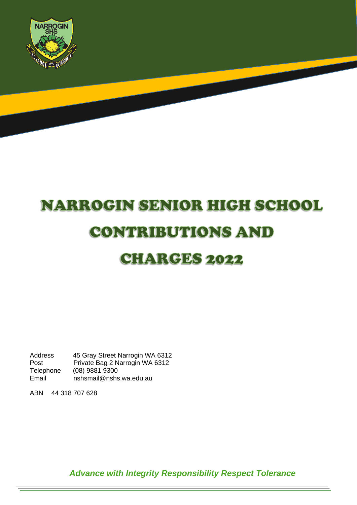

# **NARROGIN SENIOR HIGH SCHOOL CONTRIBUTIONS AND** CHARGES 2022

Address 45 Gray Street Narrogin WA 6312 Post Private Bag 2 Narrogin WA 6312<br>Telephone (08) 9881 9300 Telephone (08) 9881 9300<br>Email nshsmail@nshs nshsmail@nshs.wa.edu.au

ABN 44 318 707 628

*Advance with Integrity Responsibility Respect Tolerance*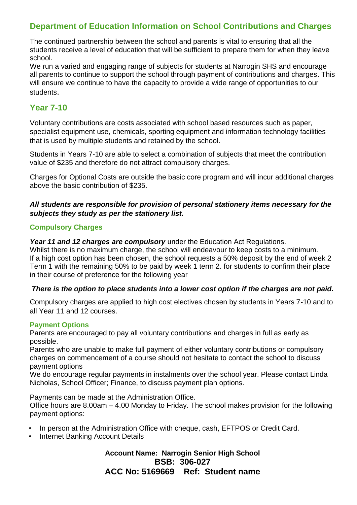### **Department of Education Information on School Contributions and Charges**

The continued partnership between the school and parents is vital to ensuring that all the students receive a level of education that will be sufficient to prepare them for when they leave school.

We run a varied and engaging range of subjects for students at Narrogin SHS and encourage all parents to continue to support the school through payment of contributions and charges. This will ensure we continue to have the capacity to provide a wide range of opportunities to our students.

#### **Year 7-10**

Voluntary contributions are costs associated with school based resources such as paper, specialist equipment use, chemicals, sporting equipment and information technology facilities that is used by multiple students and retained by the school.

Students in Years 7-10 are able to select a combination of subjects that meet the contribution value of \$235 and therefore do not attract compulsory charges.

Charges for Optional Costs are outside the basic core program and will incur additional charges above the basic contribution of \$235.

#### *All students are responsible for provision of personal stationery items necessary for the subjects they study as per the stationery list.*

#### **Compulsory Charges**

*Year 11 and 12 charges are compulsory* under the Education Act Regulations.

Whilst there is no maximum charge, the school will endeavour to keep costs to a minimum. If a high cost option has been chosen, the school requests a 50% deposit by the end of week 2 Term 1 with the remaining 50% to be paid by week 1 term 2. for students to confirm their place in their course of preference for the following year

#### *There is the option to place students into a lower cost option if the charges are not paid.*

Compulsory charges are applied to high cost electives chosen by students in Years 7-10 and to all Year 11 and 12 courses.

#### **Payment Options**

Parents are encouraged to pay all voluntary contributions and charges in full as early as possible.

Parents who are unable to make full payment of either voluntary contributions or compulsory charges on commencement of a course should not hesitate to contact the school to discuss payment options

We do encourage regular payments in instalments over the school year. Please contact Linda Nicholas, School Officer; Finance, to discuss payment plan options.

Payments can be made at the Administration Office.

Office hours are 8.00am – 4.00 Monday to Friday. The school makes provision for the following payment options:

- In person at the Administration Office with cheque, cash, EFTPOS or Credit Card.
- Internet Banking Account Details

#### **Account Name: Narrogin Senior High School BSB: 306-027 ACC No: 5169669 Ref: Student name**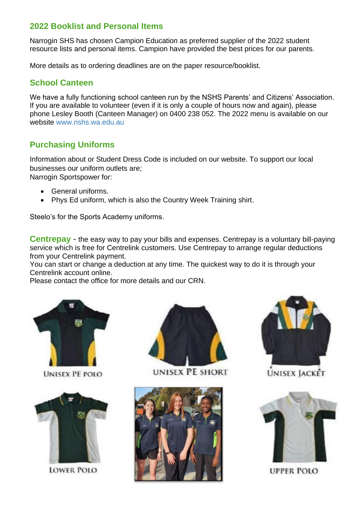#### **2022 Booklist and Personal Items**

Narrogin SHS has chosen Campion Education as preferred supplier of the 2022 student resource lists and personal items. Campion have provided the best prices for our parents.

More details as to ordering deadlines are on the paper resource/booklist.

#### **School Canteen**

We have a fully functioning school canteen run by the NSHS Parents' and Citizens' Association. If you are available to volunteer (even if it is only a couple of hours now and again), please phone Lesley Booth (Canteen Manager) on 0400 238 052. The 2022 menu is available on our website [www.nshs.wa.edu.au](http://www.nshs.wa.edu.au/)

#### **Purchasing Uniforms**

Information about or Student Dress Code is included on our website. To support our local businesses our uniform outlets are; Narrogin Sportspower for:

- General uniforms.
- Phys Ed uniform, which is also the Country Week Training shirt.

Steelo's for the Sports Academy uniforms.

**Centrepay** - the easy way to pay your bills and expenses. Centrepay is a voluntary bill-paying service which is free for Centrelink customers. Use Centrepay to arrange regular deductions from your Centrelink payment.

You can start or change a deduction at any time. The quickest way to do it is through your Centrelink account online.

Please contact the office for more details and our CRN.



**UNISEX PE POLO** 



**LOWER POLO** 



**UNISEX PE SHORT** 





**UNISEX JACKET** 



**UPPER POLO**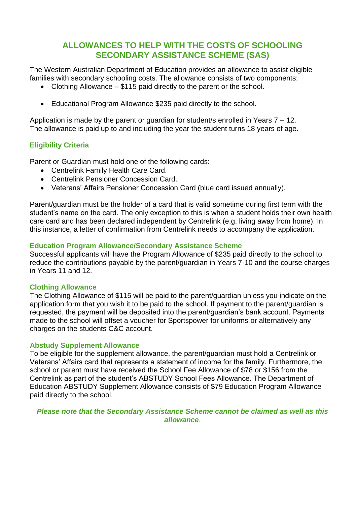#### **ALLOWANCES TO HELP WITH THE COSTS OF SCHOOLING SECONDARY ASSISTANCE SCHEME (SAS)**

The Western Australian Department of Education provides an allowance to assist eligible families with secondary schooling costs. The allowance consists of two components:

- Clothing Allowance \$115 paid directly to the parent or the school.
- Educational Program Allowance \$235 paid directly to the school.

Application is made by the parent or guardian for student/s enrolled in Years 7 – 12. The allowance is paid up to and including the year the student turns 18 years of age.

#### **Eligibility Criteria**

Parent or Guardian must hold one of the following cards:

- Centrelink Family Health Care Card.
- Centrelink Pensioner Concession Card.
- Veterans' Affairs Pensioner Concession Card (blue card issued annually).

Parent/guardian must be the holder of a card that is valid sometime during first term with the student's name on the card. The only exception to this is when a student holds their own health care card and has been declared independent by Centrelink (e.g. living away from home). In this instance, a letter of confirmation from Centrelink needs to accompany the application.

#### **Education Program Allowance/Secondary Assistance Scheme**

Successful applicants will have the Program Allowance of \$235 paid directly to the school to reduce the contributions payable by the parent/guardian in Years 7-10 and the course charges in Years 11 and 12.

#### **Clothing Allowance**

The Clothing Allowance of \$115 will be paid to the parent/guardian unless you indicate on the application form that you wish it to be paid to the school. If payment to the parent/guardian is requested, the payment will be deposited into the parent/guardian's bank account. Payments made to the school will offset a voucher for Sportspower for uniforms or alternatively any charges on the students C&C account.

#### **Abstudy Supplement Allowance**

To be eligible for the supplement allowance, the parent/guardian must hold a Centrelink or Veterans' Affairs card that represents a statement of income for the family. Furthermore, the school or parent must have received the School Fee Allowance of \$78 or \$156 from the Centrelink as part of the student's ABSTUDY School Fees Allowance. The Department of Education ABSTUDY Supplement Allowance consists of \$79 Education Program Allowance paid directly to the school.

#### *Please note that the Secondary Assistance Scheme cannot be claimed as well as this allowance*.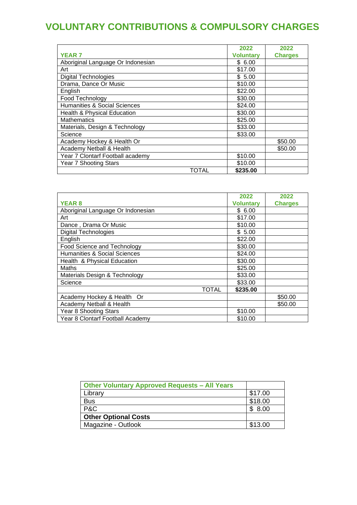# **VOLUNTARY CONTRIBUTIONS & COMPULSORY CHARGES**

|                                   | 2022             | 2022           |
|-----------------------------------|------------------|----------------|
| <b>YEAR 7</b>                     | <b>Voluntary</b> | <b>Charges</b> |
| Aboriginal Language Or Indonesian | \$ 6.00          |                |
| Art                               | \$17.00          |                |
| <b>Digital Technologies</b>       | \$5.00           |                |
| Drama, Dance Or Music             | \$10.00          |                |
| English                           | \$22.00          |                |
| Food Technology                   | \$30.00          |                |
| Humanities & Social Sciences      | \$24.00          |                |
| Health & Physical Education       | \$30.00          |                |
| <b>Mathematics</b>                | \$25.00          |                |
| Materials, Design & Technology    | \$33.00          |                |
| Science                           | \$33.00          |                |
| Academy Hockey & Health Or        |                  | \$50.00        |
| Academy Netball & Health          |                  | \$50.00        |
| Year 7 Clontarf Football academy  | \$10.00          |                |
| <b>Year 7 Shooting Stars</b>      | \$10.00          |                |
| TOTAL                             | \$235.00         |                |

|                                         | 2022             | 2022           |
|-----------------------------------------|------------------|----------------|
| <b>YEAR 8</b>                           | <b>Voluntary</b> | <b>Charges</b> |
| Aboriginal Language Or Indonesian       | \$6.00           |                |
| Art                                     | \$17.00          |                |
| Dance, Drama Or Music                   | \$10.00          |                |
| <b>Digital Technologies</b>             | \$5.00           |                |
| English                                 | \$22.00          |                |
| Food Science and Technology             | \$30.00          |                |
| <b>Humanities &amp; Social Sciences</b> | \$24.00          |                |
| Health & Physical Education             | \$30.00          |                |
| Maths                                   | \$25.00          |                |
| Materials Design & Technology           | \$33.00          |                |
| Science                                 | \$33.00          |                |
| <b>TOTAL</b>                            | \$235.00         |                |
| Academy Hockey & Health Or              |                  | \$50.00        |
| Academy Netball & Health                |                  | \$50.00        |
| Year 8 Shooting Stars                   | \$10.00          |                |
| Year 8 Clontarf Football Academy        | \$10.00          |                |

| <b>Other Voluntary Approved Requests - All Years</b> |         |
|------------------------------------------------------|---------|
| Library                                              | \$17.00 |
| <b>Bus</b>                                           | \$18.00 |
| P&C                                                  | \$8.00  |
| <b>Other Optional Costs</b>                          |         |
| Magazine - Outlook                                   | \$13.00 |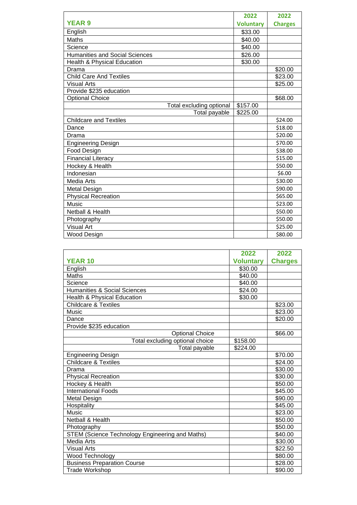|                                        | 2022             | 2022           |
|----------------------------------------|------------------|----------------|
| <b>YEAR 9</b>                          | <b>Voluntary</b> | <b>Charges</b> |
| English                                | \$33.00          |                |
| Maths                                  | \$40.00          |                |
| Science                                | \$40.00          |                |
| <b>Humanities and Social Sciences</b>  | \$26.00          |                |
| <b>Health &amp; Physical Education</b> | \$30.00          |                |
| Drama                                  |                  | \$20.00        |
| <b>Child Care And Textiles</b>         |                  | \$23.00        |
| <b>Visual Arts</b>                     |                  | \$25.00        |
| Provide \$235 education                |                  |                |
| <b>Optional Choice</b>                 |                  | \$68.00        |
| Total excluding optional               | \$157.00         |                |
| Total payable                          | \$225.00         |                |
| <b>Childcare and Textiles</b>          |                  | \$24.00        |
| Dance                                  |                  | \$18.00        |
| Drama                                  |                  | \$20.00        |
| <b>Engineering Design</b>              |                  | \$70.00        |
| Food Design                            |                  | \$38.00        |
| <b>Financial Literacy</b>              |                  | \$15.00        |
| Hockey & Health                        |                  | \$50.00        |
| Indonesian                             |                  | \$6.00         |
| Media Arts                             |                  | \$30.00        |
| Metal Design                           |                  | \$90.00        |
| <b>Physical Recreation</b>             |                  | \$65.00        |
| <b>Music</b>                           |                  | \$23.00        |
| Netball & Health                       |                  | \$50.00        |
| Photography                            |                  | \$50.00        |
| <b>Visual Art</b>                      |                  | \$25.00        |
| Wood Design                            |                  | \$80.00        |

|                                                 | 2022             | 2022           |
|-------------------------------------------------|------------------|----------------|
| <b>YEAR 10</b>                                  | <b>Voluntary</b> | <b>Charges</b> |
| English                                         | \$30.00          |                |
| Maths                                           | \$40.00          |                |
| Science                                         | \$40.00          |                |
| <b>Humanities &amp; Social Sciences</b>         | \$24.00          |                |
| Health & Physical Education                     | \$30.00          |                |
| <b>Childcare &amp; Textiles</b>                 |                  | \$23.00        |
| <b>Music</b>                                    |                  | \$23.00        |
| Dance                                           |                  | \$20.00        |
| Provide \$235 education                         |                  |                |
| <b>Optional Choice</b>                          |                  | \$66.00        |
| Total excluding optional choice                 | \$158.00         |                |
| Total payable                                   | \$224.00         |                |
| <b>Engineering Design</b>                       |                  | \$70.00        |
| <b>Childcare &amp; Textiles</b>                 |                  | \$24.00        |
| Drama                                           |                  | \$30.00        |
| <b>Physical Recreation</b>                      |                  | \$30.00        |
| Hockey & Health                                 |                  | \$50.00        |
| <b>International Foods</b>                      |                  | \$45.00        |
| Metal Design                                    |                  | \$90.00        |
| Hospitality                                     |                  | \$45.00        |
| Music                                           |                  | \$23.00        |
| <b>Netball &amp; Health</b>                     |                  | \$50.00        |
| Photography                                     |                  | \$50.00        |
| STEM (Science Technology Engineering and Maths) |                  | \$40.00        |
| <b>Media Arts</b>                               |                  | \$30.00        |
| <b>Visual Arts</b>                              |                  | \$22.50        |
| Wood Technology                                 |                  | \$80.00        |
| <b>Business Preparation Course</b>              |                  | \$28.00        |
| <b>Trade Workshop</b>                           |                  | \$90.00        |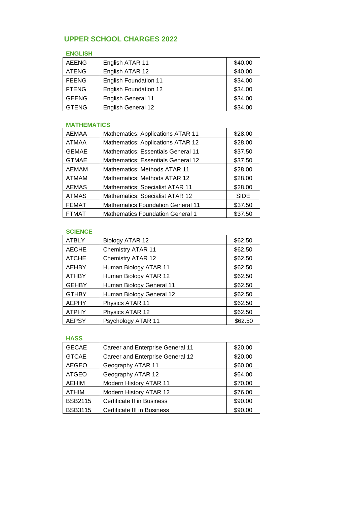#### **UPPER SCHOOL CHARGES 2022**

#### **ENGLISH**

| <b>AEENG</b> | English ATAR 11              | \$40.00 |
|--------------|------------------------------|---------|
| <b>ATENG</b> | English ATAR 12              | \$40.00 |
| <b>FEENG</b> | <b>English Foundation 11</b> | \$34.00 |
| <b>FTENG</b> | <b>English Foundation 12</b> | \$34.00 |
| <b>GEENG</b> | <b>English General 11</b>    | \$34.00 |
| <b>GTENG</b> | English General 12           | \$34.00 |

## **MATHEMATICS**

| AEMAA        | Mathematics: Applications ATAR 11         | \$28.00     |
|--------------|-------------------------------------------|-------------|
| <b>ATMAA</b> | Mathematics: Applications ATAR 12         | \$28.00     |
| <b>GEMAE</b> | <b>Mathematics: Essentials General 11</b> | \$37.50     |
| <b>GTMAE</b> | Mathematics: Essentials General 12        | \$37.50     |
| <b>AEMAM</b> | Mathematics: Methods ATAR 11              | \$28.00     |
| <b>ATMAM</b> | Mathematics: Methods ATAR 12              | \$28.00     |
| <b>AEMAS</b> | <b>Mathematics: Specialist ATAR 11</b>    | \$28.00     |
| <b>ATMAS</b> | Mathematics: Specialist ATAR 12           | <b>SIDE</b> |
| <b>FEMAT</b> | <b>Mathematics Foundation General 11</b>  | \$37.50     |
| <b>FTMAT</b> | <b>Mathematics Foundation General 1</b>   | \$37.50     |

#### **SCIENCE**

| <b>ATBLY</b> | Biology ATAR 12          | \$62.50 |
|--------------|--------------------------|---------|
| <b>AECHE</b> | <b>Chemistry ATAR 11</b> | \$62.50 |
| <b>ATCHE</b> | <b>Chemistry ATAR 12</b> | \$62.50 |
| <b>AEHBY</b> | Human Biology ATAR 11    | \$62.50 |
| <b>ATHBY</b> | Human Biology ATAR 12    | \$62.50 |
| <b>GEHBY</b> | Human Biology General 11 | \$62.50 |
| <b>GTHBY</b> | Human Biology General 12 | \$62.50 |
| <b>AEPHY</b> | Physics ATAR 11          | \$62.50 |
| <b>ATPHY</b> | Physics ATAR 12          | \$62.50 |
| <b>AEPSY</b> | Psychology ATAR 11       | \$62.50 |

#### **HASS**

| <b>GECAE</b>   | Career and Enterprise General 11 | \$20.00 |
|----------------|----------------------------------|---------|
| <b>GTCAE</b>   | Career and Enterprise General 12 | \$20.00 |
| <b>AEGEO</b>   | Geography ATAR 11                | \$60.00 |
| <b>ATGEO</b>   | Geography ATAR 12                | \$64.00 |
| <b>AEHIM</b>   | Modern History ATAR 11           | \$70.00 |
| <b>ATHIM</b>   | Modern History ATAR 12           | \$76.00 |
| <b>BSB2115</b> | Certificate II in Business       | \$90.00 |
| <b>BSB3115</b> | Certificate III in Business      | \$90.00 |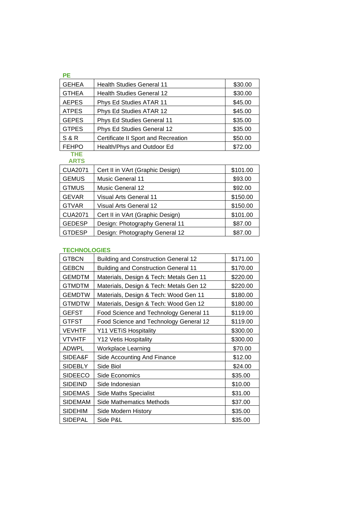| PE           |                                     |         |
|--------------|-------------------------------------|---------|
| <b>GEHEA</b> | <b>Health Studies General 11</b>    | \$30.00 |
| <b>GTHEA</b> | <b>Health Studies General 12</b>    | \$30.00 |
| <b>AEPES</b> | Phys Ed Studies ATAR 11             | \$45.00 |
| <b>ATPES</b> | Phys Ed Studies ATAR 12             | \$45.00 |
| <b>GEPES</b> | Phys Ed Studies General 11          | \$35.00 |
| <b>GTPES</b> | Phys Ed Studies General 12          | \$35.00 |
| S & R        | Certificate II Sport and Recreation | \$50.00 |
| <b>FEHPO</b> | Health/Phys and Outdoor Ed          | \$72.00 |

#### **THE ARTS**

| <b>CUA2071</b> | Cert II in VArt (Graphic Design) | \$101.00 |
|----------------|----------------------------------|----------|
| <b>GEMUS</b>   | <b>Music General 11</b>          | \$93.00  |
| <b>GTMUS</b>   | <b>Music General 12</b>          | \$92.00  |
| <b>GEVAR</b>   | <b>Visual Arts General 11</b>    | \$150.00 |
| <b>GTVAR</b>   | <b>Visual Arts General 12</b>    | \$150.00 |
| <b>CUA2071</b> | Cert II in VArt (Graphic Design) | \$101.00 |
| <b>GEDESP</b>  | Design: Photography General 11   | \$87.00  |
| <b>GTDESP</b>  | Design: Photography General 12   | \$87.00  |

#### **TECHNOLOGIES**

| <b>GTBCN</b>   | <b>Building and Construction General 12</b> | \$171.00 |
|----------------|---------------------------------------------|----------|
| <b>GEBCN</b>   | <b>Building and Construction General 11</b> | \$170.00 |
| <b>GEMDTM</b>  | Materials, Design & Tech: Metals Gen 11     | \$220.00 |
| <b>GTMDTM</b>  | Materials, Design & Tech: Metals Gen 12     | \$220.00 |
| <b>GEMDTW</b>  | Materials, Design & Tech: Wood Gen 11       | \$180.00 |
| <b>GTMDTW</b>  | Materials, Design & Tech: Wood Gen 12       | \$180.00 |
| GEFST          | Food Science and Technology General 11      | \$119.00 |
| GTFST          | Food Science and Technology General 12      | \$119.00 |
| <b>VEVHTF</b>  | Y11 VETIS Hospitality                       | \$300.00 |
| <b>VTVHTF</b>  | Y12 Vetis Hospitality                       | \$300.00 |
| <b>ADWPL</b>   | <b>Workplace Learning</b>                   | \$70.00  |
| SIDEA&F        | Side Accounting And Finance                 | \$12.00  |
| <b>SIDEBLY</b> | Side Biol                                   | \$24.00  |
| <b>SIDEECO</b> | Side Economics                              | \$35.00  |
| <b>SIDEIND</b> | Side Indonesian                             | \$10.00  |
| <b>SIDEMAS</b> | <b>Side Maths Specialist</b>                | \$31.00  |
| <b>SIDEMAM</b> | Side Mathematics Methods                    | \$37.00  |
| <b>SIDEHIM</b> | Side Modern History                         | \$35.00  |
| <b>SIDEPAL</b> | Side P&L                                    | \$35.00  |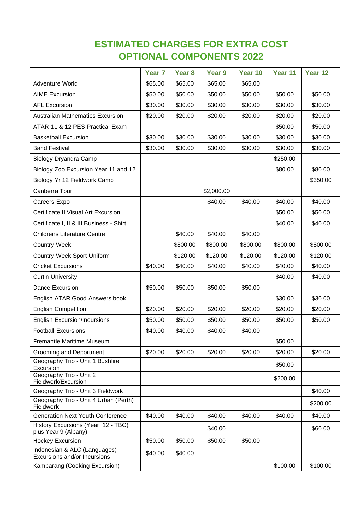# **ESTIMATED CHARGES FOR EXTRA COST OPTIONAL COMPONENTS 2022**

|                                                              | Year <sub>7</sub> | Year 8   | Year <sub>9</sub> | Year 10  | Year 11  | Year 12  |
|--------------------------------------------------------------|-------------------|----------|-------------------|----------|----------|----------|
| <b>Adventure World</b>                                       | \$65.00           | \$65.00  | \$65.00           | \$65.00  |          |          |
| <b>AIME Excursion</b>                                        | \$50.00           | \$50.00  | \$50.00           | \$50.00  | \$50.00  | \$50.00  |
| <b>AFL Excursion</b>                                         | \$30.00           | \$30.00  | \$30.00           | \$30.00  | \$30.00  | \$30.00  |
| <b>Australian Mathematics Excursion</b>                      | \$20.00           | \$20.00  | \$20.00           | \$20.00  | \$20.00  | \$20.00  |
| ATAR 11 & 12 PES Practical Exam                              |                   |          |                   |          | \$50.00  | \$50.00  |
| <b>Basketball Excursion</b>                                  | \$30.00           | \$30.00  | \$30.00           | \$30.00  | \$30.00  | \$30.00  |
| <b>Band Festival</b>                                         | \$30.00           | \$30.00  | \$30.00           | \$30.00  | \$30.00  | \$30.00  |
| <b>Biology Dryandra Camp</b>                                 |                   |          |                   |          | \$250.00 |          |
| Biology Zoo Excursion Year 11 and 12                         |                   |          |                   |          | \$80.00  | \$80.00  |
| Biology Yr 12 Fieldwork Camp                                 |                   |          |                   |          |          | \$350.00 |
| Canberra Tour                                                |                   |          | \$2,000.00        |          |          |          |
| Careers Expo                                                 |                   |          | \$40.00           | \$40.00  | \$40.00  | \$40.00  |
| Certificate II Visual Art Excursion                          |                   |          |                   |          | \$50.00  | \$50.00  |
| Certificate I, II & III Business - Shirt                     |                   |          |                   |          | \$40.00  | \$40.00  |
| <b>Childrens Literature Centre</b>                           |                   | \$40.00  | \$40.00           | \$40.00  |          |          |
| <b>Country Week</b>                                          |                   | \$800.00 | \$800.00          | \$800.00 | \$800.00 | \$800.00 |
| Country Week Sport Uniform                                   |                   | \$120.00 | \$120.00          | \$120.00 | \$120.00 | \$120.00 |
| <b>Cricket Excursions</b>                                    | \$40.00           | \$40.00  | \$40.00           | \$40.00  | \$40.00  | \$40.00  |
| <b>Curtin University</b>                                     |                   |          |                   |          | \$40.00  | \$40.00  |
| Dance Excursion                                              | \$50.00           | \$50.00  | \$50.00           | \$50.00  |          |          |
| English ATAR Good Answers book                               |                   |          |                   |          | \$30.00  | \$30.00  |
| <b>English Competition</b>                                   | \$20.00           | \$20.00  | \$20.00           | \$20.00  | \$20.00  | \$20.00  |
| <b>English Excursion/Incursions</b>                          | \$50.00           | \$50.00  | \$50.00           | \$50.00  | \$50.00  | \$50.00  |
| <b>Football Excursions</b>                                   | \$40.00           | \$40.00  | \$40.00           | \$40.00  |          |          |
| <b>Fremantle Maritime Museum</b>                             |                   |          |                   |          | \$50.00  |          |
| Grooming and Deportment                                      | \$20.00           | \$20.00  | \$20.00           | \$20.00  | \$20.00  | \$20.00  |
| Geography Trip - Unit 1 Bushfire<br>Excursion                |                   |          |                   |          | \$50.00  |          |
| Geography Trip - Unit 2<br>Fieldwork/Excursion               |                   |          |                   |          | \$200.00 |          |
| Geography Trip - Unit 3 Fieldwork                            |                   |          |                   |          |          | \$40.00  |
| Geography Trip - Unit 4 Urban (Perth)<br>Fieldwork           |                   |          |                   |          |          | \$200.00 |
| <b>Generation Next Youth Conference</b>                      | \$40.00           | \$40.00  | \$40.00           | \$40.00  | \$40.00  | \$40.00  |
| History Excursions (Year 12 - TBC)<br>plus Year 9 (Albany)   |                   |          | \$40.00           |          |          | \$60.00  |
| <b>Hockey Excursion</b>                                      | \$50.00           | \$50.00  | \$50.00           | \$50.00  |          |          |
| Indonesian & ALC (Languages)<br>Excursions and/or Incursions | \$40.00           | \$40.00  |                   |          |          |          |
| Kambarang (Cooking Excursion)                                |                   |          |                   |          | \$100.00 | \$100.00 |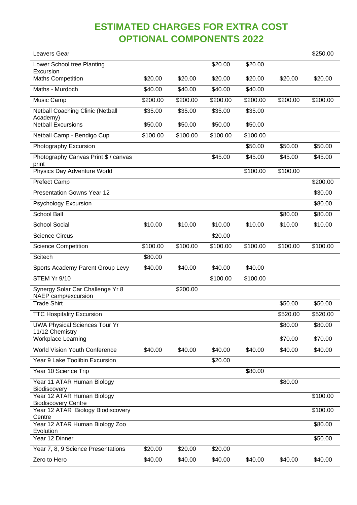# **ESTIMATED CHARGES FOR EXTRA COST OPTIONAL COMPONENTS 2022**

| Leavers Gear                                                              |          |          |          |          |          | \$250.00 |
|---------------------------------------------------------------------------|----------|----------|----------|----------|----------|----------|
| Lower School tree Planting<br>Excursion                                   |          |          | \$20.00  | \$20.00  |          |          |
| <b>Maths Competition</b>                                                  | \$20.00  | \$20.00  | \$20.00  | \$20.00  | \$20.00  | \$20.00  |
| Maths - Murdoch                                                           | \$40.00  | \$40.00  | \$40.00  | \$40.00  |          |          |
| Music Camp                                                                | \$200.00 | \$200.00 | \$200.00 | \$200.00 | \$200.00 | \$200.00 |
| <b>Netball Coaching Clinic (Netball</b><br>Academy)                       | \$35.00  | \$35.00  | \$35.00  | \$35.00  |          |          |
| <b>Netball Excursions</b>                                                 | \$50.00  | \$50.00  | \$50.00  | \$50.00  |          |          |
| Netball Camp - Bendigo Cup                                                | \$100.00 | \$100.00 | \$100.00 | \$100.00 |          |          |
| Photography Excursion                                                     |          |          |          | \$50.00  | \$50.00  | \$50.00  |
| Photography Canvas Print \$ / canvas<br>print                             |          |          | \$45.00  | \$45.00  | \$45.00  | \$45.00  |
| Physics Day Adventure World                                               |          |          |          | \$100.00 | \$100.00 |          |
| <b>Prefect Camp</b>                                                       |          |          |          |          |          | \$200.00 |
| <b>Presentation Gowns Year 12</b>                                         |          |          |          |          |          | \$30.00  |
| <b>Psychology Excursion</b>                                               |          |          |          |          |          | \$80.00  |
| <b>School Ball</b>                                                        |          |          |          |          | \$80.00  | \$80.00  |
| <b>School Social</b>                                                      | \$10.00  | \$10.00  | \$10.00  | \$10.00  | \$10.00  | \$10.00  |
| <b>Science Circus</b>                                                     |          |          | \$20.00  |          |          |          |
| Science Competition                                                       | \$100.00 | \$100.00 | \$100.00 | \$100.00 | \$100.00 | \$100.00 |
| Scitech                                                                   | \$80.00  |          |          |          |          |          |
| Sports Academy Parent Group Levy                                          | \$40.00  | \$40.00  | \$40.00  | \$40.00  |          |          |
| STEM Yr 9/10                                                              |          |          | \$100.00 | \$100.00 |          |          |
| Synergy Solar Car Challenge Yr 8<br>NAEP camp/excursion                   |          | \$200.00 |          |          |          |          |
| <b>Trade Shirt</b>                                                        |          |          |          |          | \$50.00  | \$50.00  |
| <b>TTC Hospitality Excursion</b>                                          |          |          |          |          | \$520.00 | \$520.00 |
| <b>UWA Physical Sciences Tour Yr</b><br>11/12 Chemistry                   |          |          |          |          | \$80.00  | \$80.00  |
| <b>Workplace Learning</b>                                                 |          |          |          |          | \$70.00  | \$70.00  |
| <b>World Vision Youth Conference</b>                                      | \$40.00  | \$40.00  | \$40.00  | \$40.00  | \$40.00  | \$40.00  |
| Year 9 Lake Toolibin Excursion                                            |          |          | \$20.00  |          |          |          |
| Year 10 Science Trip                                                      |          |          |          | \$80.00  |          |          |
| Year 11 ATAR Human Biology<br>Biodiscovery                                |          |          |          |          | \$80.00  |          |
| Year 12 ATAR Human Biology                                                |          |          |          |          |          | \$100.00 |
| <b>Biodiscovery Centre</b><br>Year 12 ATAR Biology Biodiscovery<br>Centre |          |          |          |          |          | \$100.00 |
| Year 12 ATAR Human Biology Zoo<br>Evolution                               |          |          |          |          |          | \$80.00  |
| Year 12 Dinner                                                            |          |          |          |          |          | \$50.00  |
| Year 7, 8, 9 Science Presentations                                        | \$20.00  | \$20.00  | \$20.00  |          |          |          |
| Zero to Hero                                                              | \$40.00  | \$40.00  | \$40.00  | \$40.00  | \$40.00  | \$40.00  |